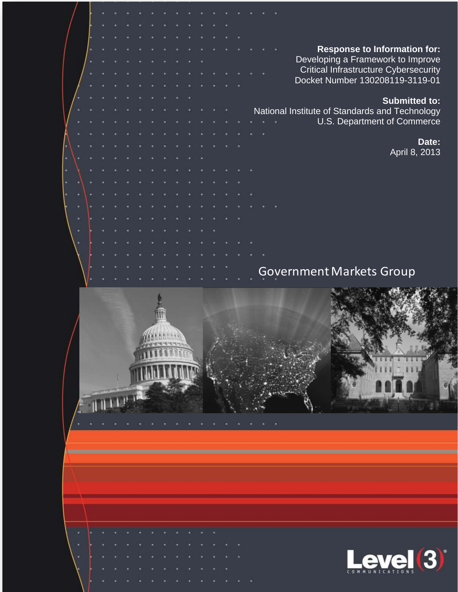|  |  |  |  |  |  |  |  |  |  | <b>Response to Information for:</b>            |
|--|--|--|--|--|--|--|--|--|--|------------------------------------------------|
|  |  |  |  |  |  |  |  |  |  | Developing a Framework to Improve              |
|  |  |  |  |  |  |  |  |  |  | <b>Critical Infrastructure Cybersecurity</b>   |
|  |  |  |  |  |  |  |  |  |  | Docket Number 130208119-3119-01                |
|  |  |  |  |  |  |  |  |  |  | <b>Submitted to:</b>                           |
|  |  |  |  |  |  |  |  |  |  | National Institute of Standards and Technology |
|  |  |  |  |  |  |  |  |  |  | U.S. Department of Commerce                    |
|  |  |  |  |  |  |  |  |  |  |                                                |
|  |  |  |  |  |  |  |  |  |  | Date:                                          |
|  |  |  |  |  |  |  |  |  |  | April 8, 2013                                  |
|  |  |  |  |  |  |  |  |  |  |                                                |
|  |  |  |  |  |  |  |  |  |  |                                                |
|  |  |  |  |  |  |  |  |  |  |                                                |
|  |  |  |  |  |  |  |  |  |  |                                                |
|  |  |  |  |  |  |  |  |  |  |                                                |
|  |  |  |  |  |  |  |  |  |  |                                                |
|  |  |  |  |  |  |  |  |  |  |                                                |
|  |  |  |  |  |  |  |  |  |  |                                                |
|  |  |  |  |  |  |  |  |  |  |                                                |
|  |  |  |  |  |  |  |  |  |  | <b>Government Markets Group</b>                |





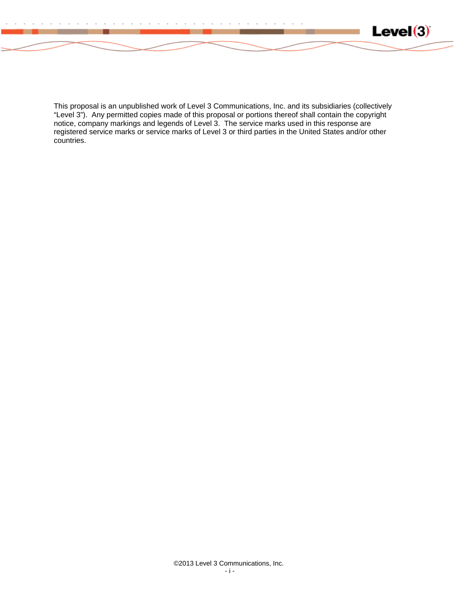

This proposal is an unpublished work of Level 3 Communications, Inc. and its subsidiaries (collectively "Level 3"). Any permitted copies made of this proposal or portions thereof shall contain the copyright notice, company markings and legends of Level 3. The service marks used in this response are registered service marks or service marks of Level 3 or third parties in the United States and/or other countries.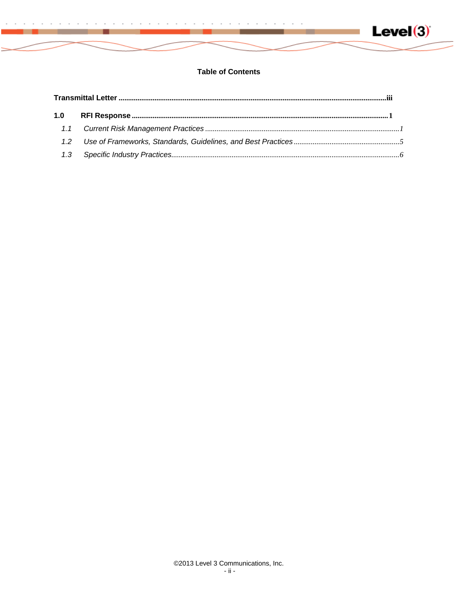

# **Table of Contents**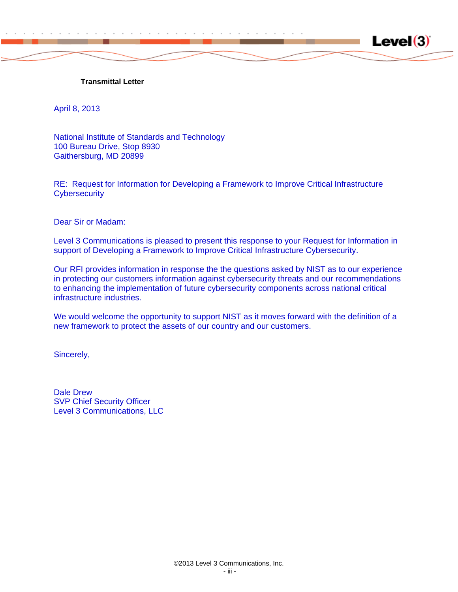<span id="page-3-0"></span>

April 8, 2013

National Institute of Standards and Technology 100 Bureau Drive, Stop 8930 Gaithersburg, MD 20899

RE: Request for Information for Developing a Framework to Improve Critical Infrastructure **Cybersecurity** 

 $Level(3)$ 

Dear Sir or Madam:

Level 3 Communications is pleased to present this response to your Request for Information in support of Developing a Framework to Improve Critical Infrastructure Cybersecurity.

Our RFI provides information in response the the questions asked by NIST as to our experience in protecting our customers information against cybersecurity threats and our recommendations to enhancing the implementation of future cybersecurity components across national critical infrastructure industries.

We would welcome the opportunity to support NIST as it moves forward with the definition of a new framework to protect the assets of our country and our customers.

Sincerely,

Dale Drew SVP Chief Security Officer Level 3 Communications, LLC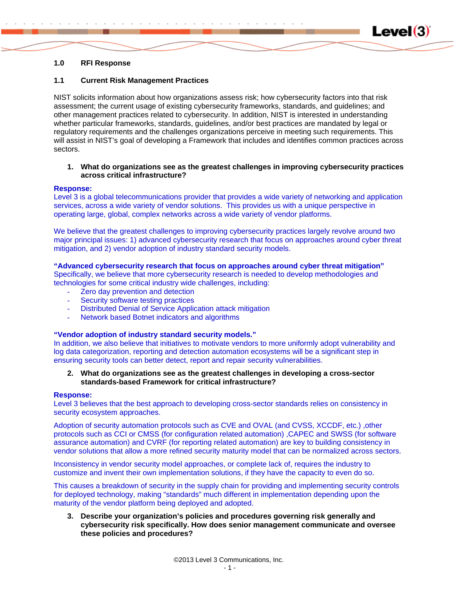

# <span id="page-4-0"></span>**1.0 RFI Response**

# <span id="page-4-1"></span>**1.1 Current Risk Management Practices**

NIST solicits information about how organizations assess risk; how cybersecurity factors into that risk assessment; the current usage of existing cybersecurity frameworks, standards, and guidelines; and other management practices related to cybersecurity. In addition, NIST is interested in understanding whether particular frameworks, standards, guidelines, and/or best practices are mandated by legal or regulatory requirements and the challenges organizations perceive in meeting such requirements. This will assist in NIST's goal of developing a Framework that includes and identifies common practices across sectors.

### **1. What do organizations see as the greatest challenges in improving cybersecurity practices across critical infrastructure?**

### **Response:**

Level 3 is a global telecommunications provider that provides a wide variety of networking and application services, across a wide variety of vendor solutions. This provides us with a unique perspective in operating large, global, complex networks across a wide variety of vendor platforms.

We believe that the greatest challenges to improving cybersecurity practices largely revolve around two major principal issues: 1) advanced cybersecurity research that focus on approaches around cyber threat mitigation, and 2) vendor adoption of industry standard security models.

### **"Advanced cybersecurity research that focus on approaches around cyber threat mitigation"**

Specifically, we believe that more cybersecurity research is needed to develop methodologies and technologies for some critical industry wide challenges, including:

- Zero day prevention and detection
- Security software testing practices
- Distributed Denial of Service Application attack mitigation
- Network based Botnet indicators and algorithms

### **"Vendor adoption of industry standard security models."**

In addition, we also believe that initiatives to motivate vendors to more uniformly adopt vulnerability and log data categorization, reporting and detection automation ecosystems will be a significant step in ensuring security tools can better detect, report and repair security vulnerabilities.

# **2. What do organizations see as the greatest challenges in developing a cross-sector standards-based Framework for critical infrastructure?**

#### **Response:**

Level 3 believes that the best approach to developing cross-sector standards relies on consistency in security ecosystem approaches.

Adoption of security automation protocols such as CVE and OVAL (and CVSS, XCCDF, etc.) ,other protocols such as CCI or CMSS (for configuration related automation) ,CAPEC and SWSS (for software assurance automation) and CVRF (for reporting related automation) are key to building consistency in vendor solutions that allow a more refined security maturity model that can be normalized across sectors.

Inconsistency in vendor security model approaches, or complete lack of, requires the industry to customize and invent their own implementation solutions, if they have the capacity to even do so.

This causes a breakdown of security in the supply chain for providing and implementing security controls for deployed technology, making "standards" much different in implementation depending upon the maturity of the vendor platform being deployed and adopted.

**3. Describe your organization's policies and procedures governing risk generally and cybersecurity risk specifically. How does senior management communicate and oversee these policies and procedures?**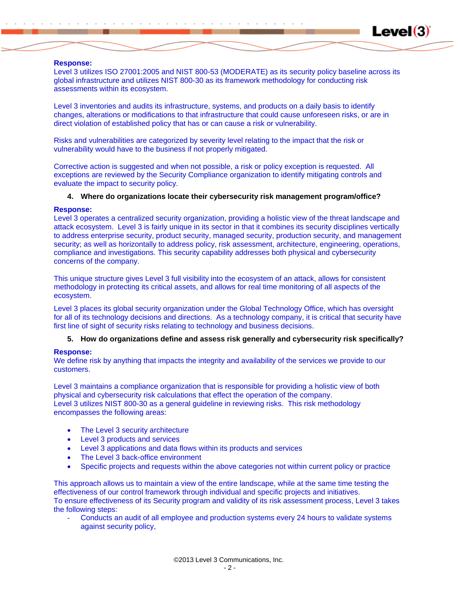#### **Response:**

Level 3 utilizes ISO 27001:2005 and NIST 800-53 (MODERATE) as its security policy baseline across its global infrastructure and utilizes NIST 800-30 as its framework methodology for conducting risk assessments within its ecosystem.

 $Level(3)$ 

Level 3 inventories and audits its infrastructure, systems, and products on a daily basis to identify changes, alterations or modifications to that infrastructure that could cause unforeseen risks, or are in direct violation of established policy that has or can cause a risk or vulnerability.

Risks and vulnerabilities are categorized by severity level relating to the impact that the risk or vulnerability would have to the business if not properly mitigated.

Corrective action is suggested and when not possible, a risk or policy exception is requested. All exceptions are reviewed by the Security Compliance organization to identify mitigating controls and evaluate the impact to security policy.

# **4. Where do organizations locate their cybersecurity risk management program/office?**

### **Response:**

Level 3 operates a centralized security organization, providing a holistic view of the threat landscape and attack ecosystem. Level 3 is fairly unique in its sector in that it combines its security disciplines vertically to address enterprise security, product security, managed security, production security, and management security; as well as horizontally to address policy, risk assessment, architecture, engineering, operations, compliance and investigations. This security capability addresses both physical and cybersecurity concerns of the company.

This unique structure gives Level 3 full visibility into the ecosystem of an attack, allows for consistent methodology in protecting its critical assets, and allows for real time monitoring of all aspects of the ecosystem.

Level 3 places its global security organization under the Global Technology Office, which has oversight for all of its technology decisions and directions. As a technology company, it is critical that security have first line of sight of security risks relating to technology and business decisions.

### **5. How do organizations define and assess risk generally and cybersecurity risk specifically?**

### **Response:**

We define risk by anything that impacts the integrity and availability of the services we provide to our customers.

Level 3 maintains a compliance organization that is responsible for providing a holistic view of both physical and cybersecurity risk calculations that effect the operation of the company. Level 3 utilizes NIST 800-30 as a general guideline in reviewing risks. This risk methodology encompasses the following areas:

- The Level 3 security architecture
- Level 3 products and services
- Level 3 applications and data flows within its products and services
- The Level 3 back-office environment
- Specific projects and requests within the above categories not within current policy or practice

This approach allows us to maintain a view of the entire landscape, while at the same time testing the effectiveness of our control framework through individual and specific projects and initiatives. To ensure effectiveness of its Security program and validity of its risk assessment process, Level 3 takes the following steps:

Conducts an audit of all employee and production systems every 24 hours to validate systems against security policy,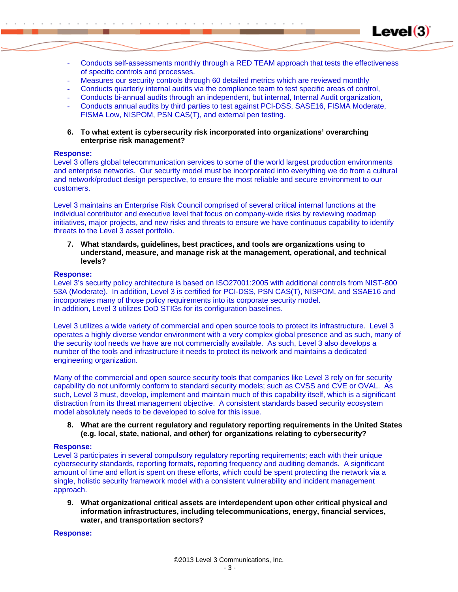Conducts self-assessments monthly through a RED TEAM approach that tests the effectiveness of specific controls and processes.

 $Level(3)$ 

- Measures our security controls through 60 detailed metrics which are reviewed monthly
- Conducts quarterly internal audits via the compliance team to test specific areas of control,
- Conducts bi-annual audits through an independent, but internal, Internal Audit organization,
- Conducts annual audits by third parties to test against PCI-DSS, SASE16, FISMA Moderate, FISMA Low, NISPOM, PSN CAS(T), and external pen testing.
- **6. To what extent is cybersecurity risk incorporated into organizations' overarching enterprise risk management?**

### **Response:**

Level 3 offers global telecommunication services to some of the world largest production environments and enterprise networks. Our security model must be incorporated into everything we do from a cultural and network/product design perspective, to ensure the most reliable and secure environment to our customers.

Level 3 maintains an Enterprise Risk Council comprised of several critical internal functions at the individual contributor and executive level that focus on company-wide risks by reviewing roadmap initiatives, major projects, and new risks and threats to ensure we have continuous capability to identify threats to the Level 3 asset portfolio.

**7. What standards, guidelines, best practices, and tools are organizations using to understand, measure, and manage risk at the management, operational, and technical levels?** 

### **Response:**

Level 3's security policy architecture is based on ISO27001:2005 with additional controls from NIST-800 53A (Moderate). In addition, Level 3 is certified for PCI-DSS, PSN CAS(T), NISPOM, and SSAE16 and incorporates many of those policy requirements into its corporate security model. In addition, Level 3 utilizes DoD STIGs for its configuration baselines.

Level 3 utilizes a wide variety of commercial and open source tools to protect its infrastructure. Level 3 operates a highly diverse vendor environment with a very complex global presence and as such, many of the security tool needs we have are not commercially available. As such, Level 3 also develops a number of the tools and infrastructure it needs to protect its network and maintains a dedicated engineering organization.

Many of the commercial and open source security tools that companies like Level 3 rely on for security capability do not uniformly conform to standard security models; such as CVSS and CVE or OVAL. As such, Level 3 must, develop, implement and maintain much of this capability itself, which is a significant distraction from its threat management objective. A consistent standards based security ecosystem model absolutely needs to be developed to solve for this issue.

**8. What are the current regulatory and regulatory reporting requirements in the United States (e.g. local, state, national, and other) for organizations relating to cybersecurity?** 

# **Response:**

Level 3 participates in several compulsory regulatory reporting requirements; each with their unique cybersecurity standards, reporting formats, reporting frequency and auditing demands. A significant amount of time and effort is spent on these efforts, which could be spent protecting the network via a single, holistic security framework model with a consistent vulnerability and incident management approach.

**9. What organizational critical assets are interdependent upon other critical physical and information infrastructures, including telecommunications, energy, financial services, water, and transportation sectors?** 

### **Response:**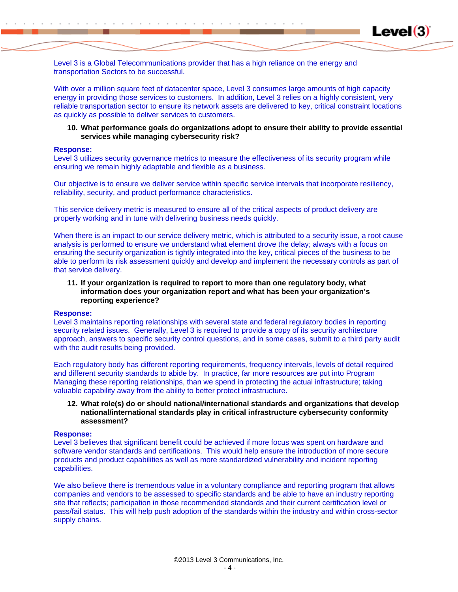

Level 3 is a Global Telecommunications provider that has a high reliance on the energy and transportation Sectors to be successful.

With over a million square feet of datacenter space, Level 3 consumes large amounts of high capacity energy in providing those services to customers. In addition, Level 3 relies on a highly consistent, very reliable transportation sector to ensure its network assets are delivered to key, critical constraint locations as quickly as possible to deliver services to customers.

### **10. What performance goals do organizations adopt to ensure their ability to provide essential services while managing cybersecurity risk?**

#### **Response:**

Level 3 utilizes security governance metrics to measure the effectiveness of its security program while ensuring we remain highly adaptable and flexible as a business.

Our objective is to ensure we deliver service within specific service intervals that incorporate resiliency, reliability, security, and product performance characteristics.

This service delivery metric is measured to ensure all of the critical aspects of product delivery are properly working and in tune with delivering business needs quickly.

When there is an impact to our service delivery metric, which is attributed to a security issue, a root cause analysis is performed to ensure we understand what element drove the delay; always with a focus on ensuring the security organization is tightly integrated into the key, critical pieces of the business to be able to perform its risk assessment quickly and develop and implement the necessary controls as part of that service delivery.

# **11. If your organization is required to report to more than one regulatory body, what information does your organization report and what has been your organization's reporting experience?**

#### **Response:**

Level 3 maintains reporting relationships with several state and federal regulatory bodies in reporting security related issues. Generally, Level 3 is required to provide a copy of its security architecture approach, answers to specific security control questions, and in some cases, submit to a third party audit with the audit results being provided.

Each regulatory body has different reporting requirements, frequency intervals, levels of detail required and different security standards to abide by. In practice, far more resources are put into Program Managing these reporting relationships, than we spend in protecting the actual infrastructure; taking valuable capability away from the ability to better protect infrastructure.

**12. What role(s) do or should national/international standards and organizations that develop national/international standards play in critical infrastructure cybersecurity conformity assessment?** 

#### **Response:**

Level 3 believes that significant benefit could be achieved if more focus was spent on hardware and software vendor standards and certifications. This would help ensure the introduction of more secure products and product capabilities as well as more standardized vulnerability and incident reporting capabilities.

We also believe there is tremendous value in a voluntary compliance and reporting program that allows companies and vendors to be assessed to specific standards and be able to have an industry reporting site that reflects; participation in those recommended standards and their current certification level or pass/fail status. This will help push adoption of the standards within the industry and within cross-sector supply chains.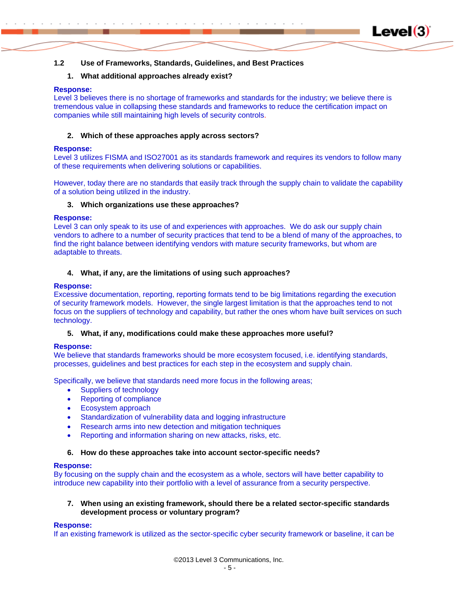# <span id="page-8-0"></span>**1.2 Use of Frameworks, Standards, Guidelines, and Best Practices**

# **1. What additional approaches already exist?**

# **Response:**

Level 3 believes there is no shortage of frameworks and standards for the industry; we believe there is tremendous value in collapsing these standards and frameworks to reduce the certification impact on companies while still maintaining high levels of security controls.

**Level(3)** 

# **2. Which of these approaches apply across sectors?**

# **Response:**

Level 3 utilizes FISMA and ISO27001 as its standards framework and requires its vendors to follow many of these requirements when delivering solutions or capabilities.

However, today there are no standards that easily track through the supply chain to validate the capability of a solution being utilized in the industry.

# **3. Which organizations use these approaches?**

# **Response:**

Level 3 can only speak to its use of and experiences with approaches. We do ask our supply chain vendors to adhere to a number of security practices that tend to be a blend of many of the approaches, to find the right balance between identifying vendors with mature security frameworks, but whom are adaptable to threats.

# **4. What, if any, are the limitations of using such approaches?**

# **Response:**

Excessive documentation, reporting, reporting formats tend to be big limitations regarding the execution of security framework models. However, the single largest limitation is that the approaches tend to not focus on the suppliers of technology and capability, but rather the ones whom have built services on such technology.

# **5. What, if any, modifications could make these approaches more useful?**

# **Response:**

We believe that standards frameworks should be more ecosystem focused, i.e. identifying standards, processes, guidelines and best practices for each step in the ecosystem and supply chain.

Specifically, we believe that standards need more focus in the following areas;

- Suppliers of technology
- Reporting of compliance
- Ecosystem approach
- Standardization of vulnerability data and logging infrastructure
- Research arms into new detection and mitigation techniques
- Reporting and information sharing on new attacks, risks, etc.

# **6. How do these approaches take into account sector-specific needs?**

# **Response:**

By focusing on the supply chain and the ecosystem as a whole, sectors will have better capability to introduce new capability into their portfolio with a level of assurance from a security perspective.

# **7. When using an existing framework, should there be a related sector-specific standards development process or voluntary program?**

# **Response:**

If an existing framework is utilized as the sector-specific cyber security framework or baseline, it can be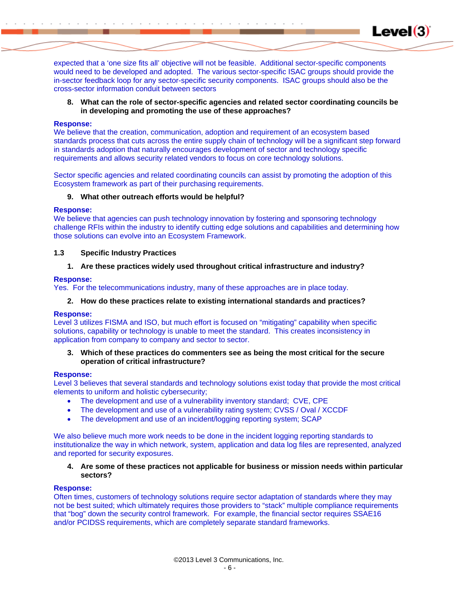expected that a 'one size fits all' objective will not be feasible. Additional sector-specific components would need to be developed and adopted. The various sector-specific ISAC groups should provide the in-sector feedback loop for any sector-specific security components. ISAC groups should also be the cross-sector information conduit between sectors

**8. What can the role of sector-specific agencies and related sector coordinating councils be in developing and promoting the use of these approaches?** 

**Level(3)** 

### **Response:**

We believe that the creation, communication, adoption and requirement of an ecosystem based standards process that cuts across the entire supply chain of technology will be a significant step forward in standards adoption that naturally encourages development of sector and technology specific requirements and allows security related vendors to focus on core technology solutions.

Sector specific agencies and related coordinating councils can assist by promoting the adoption of this Ecosystem framework as part of their purchasing requirements.

### **9. What other outreach efforts would be helpful?**

### **Response:**

We believe that agencies can push technology innovation by fostering and sponsoring technology challenge RFIs within the industry to identify cutting edge solutions and capabilities and determining how those solutions can evolve into an Ecosystem Framework.

### <span id="page-9-0"></span>**1.3 Specific Industry Practices**

### **1. Are these practices widely used throughout critical infrastructure and industry?**

### **Response:**

Yes. For the telecommunications industry, many of these approaches are in place today.

# **2. How do these practices relate to existing international standards and practices?**

### **Response:**

Level 3 utilizes FISMA and ISO, but much effort is focused on "mitigating" capability when specific solutions, capability or technology is unable to meet the standard. This creates inconsistency in application from company to company and sector to sector.

**3. Which of these practices do commenters see as being the most critical for the secure operation of critical infrastructure?** 

### **Response:**

Level 3 believes that several standards and technology solutions exist today that provide the most critical elements to uniform and holistic cybersecurity;

- The development and use of a vulnerability inventory standard; CVE, CPE
- The development and use of a vulnerability rating system; CVSS / Oval / XCCDF
- The development and use of an incident/logging reporting system; SCAP

We also believe much more work needs to be done in the incident logging reporting standards to institutionalize the way in which network, system, application and data log files are represented, analyzed and reported for security exposures.

**4. Are some of these practices not applicable for business or mission needs within particular sectors?** 

### **Response:**

Often times, customers of technology solutions require sector adaptation of standards where they may not be best suited; which ultimately requires those providers to "stack" multiple compliance requirements that "bog" down the security control framework. For example, the financial sector requires SSAE16 and/or PCIDSS requirements, which are completely separate standard frameworks.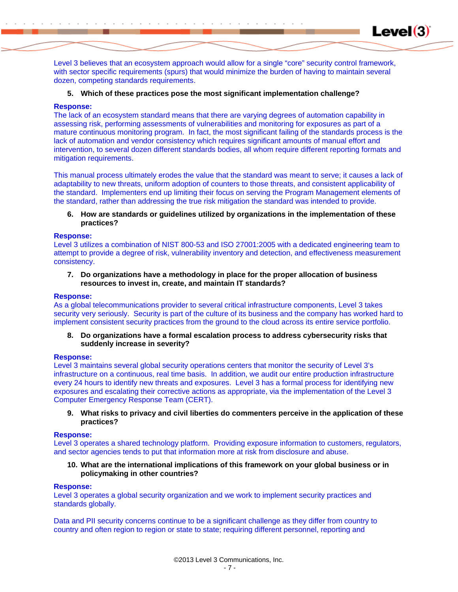Level 3 believes that an ecosystem approach would allow for a single "core" security control framework, with sector specific requirements (spurs) that would minimize the burden of having to maintain several dozen, competing standards requirements.

**Level(3)** 

# **5. Which of these practices pose the most significant implementation challenge?**

# **Response:**

The lack of an ecosystem standard means that there are varying degrees of automation capability in assessing risk, performing assessments of vulnerabilities and monitoring for exposures as part of a mature continuous monitoring program. In fact, the most significant failing of the standards process is the lack of automation and vendor consistency which requires significant amounts of manual effort and intervention, to several dozen different standards bodies, all whom require different reporting formats and mitigation requirements.

This manual process ultimately erodes the value that the standard was meant to serve; it causes a lack of adaptability to new threats, uniform adoption of counters to those threats, and consistent applicability of the standard. Implementers end up limiting their focus on serving the Program Management elements of the standard, rather than addressing the true risk mitigation the standard was intended to provide.

**6. How are standards or guidelines utilized by organizations in the implementation of these practices?** 

# **Response:**

Level 3 utilizes a combination of NIST 800-53 and ISO 27001:2005 with a dedicated engineering team to attempt to provide a degree of risk, vulnerability inventory and detection, and effectiveness measurement consistency.

**7. Do organizations have a methodology in place for the proper allocation of business resources to invest in, create, and maintain IT standards?** 

### **Response:**

As a global telecommunications provider to several critical infrastructure components, Level 3 takes security very seriously. Security is part of the culture of its business and the company has worked hard to implement consistent security practices from the ground to the cloud across its entire service portfolio.

**8. Do organizations have a formal escalation process to address cybersecurity risks that suddenly increase in severity?** 

# **Response:**

Level 3 maintains several global security operations centers that monitor the security of Level 3's infrastructure on a continuous, real time basis. In addition, we audit our entire production infrastructure every 24 hours to identify new threats and exposures. Level 3 has a formal process for identifying new exposures and escalating their corrective actions as appropriate, via the implementation of the Level 3 Computer Emergency Response Team (CERT).

**9. What risks to privacy and civil liberties do commenters perceive in the application of these practices?** 

### **Response:**

Level 3 operates a shared technology platform. Providing exposure information to customers, regulators, and sector agencies tends to put that information more at risk from disclosure and abuse.

**10. What are the international implications of this framework on your global business or in policymaking in other countries?** 

### **Response:**

Level 3 operates a global security organization and we work to implement security practices and standards globally.

Data and PII security concerns continue to be a significant challenge as they differ from country to country and often region to region or state to state; requiring different personnel, reporting and